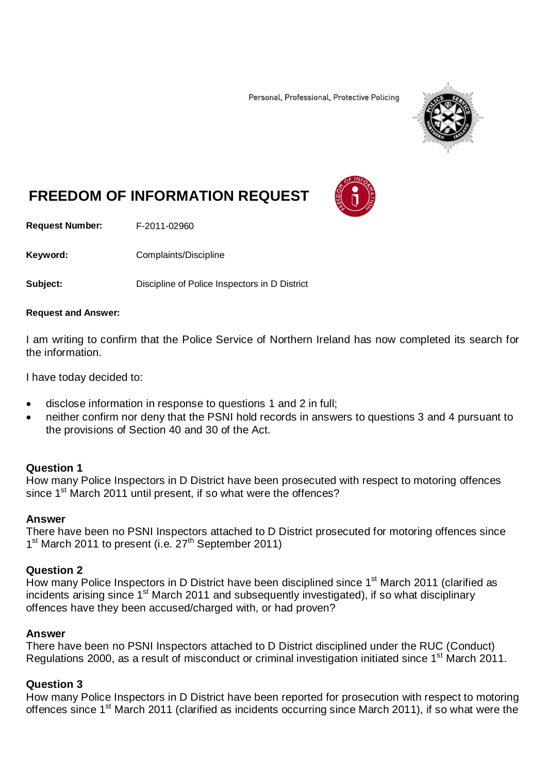Personal, Professional, Protective Policing



# **FREEDOM OF INFORMATION REQUEST**

**Request Number:** F-2011-02960

Keyword: Complaints/Discipline

**Subject:** Discipline of Police Inspectors in D District

#### **Request and Answer:**

I am writing to confirm that the Police Service of Northern Ireland has now completed its search for the information.

I have today decided to:

- disclose information in response to questions 1 and 2 in full;
- neither confirm nor deny that the PSNI hold records in answers to questions 3 and 4 pursuant to the provisions of Section 40 and 30 of the Act.

#### **Question 1**

How many Police Inspectors in D District have been prosecuted with respect to motoring offences since 1<sup>st</sup> March 2011 until present, if so what were the offences?

#### **Answer**

There have been no PSNI Inspectors attached to D District prosecuted for motoring offences since 1<sup>st</sup> March 2011 to present (i.e. 27<sup>th</sup> September 2011)

#### **Question 2**

How many Police Inspectors in D District have been disciplined since 1<sup>st</sup> March 2011 (clarified as incidents arising since 1<sup>st</sup> March 2011 and subsequently investigated), if so what disciplinary offences have they been accused/charged with, or had proven?

#### **Answer**

There have been no PSNI Inspectors attached to D District disciplined under the RUC (Conduct) Regulations 2000, as a result of misconduct or criminal investigation initiated since 1<sup>st</sup> March 2011.

#### **Question 3**

How many Police Inspectors in D District have been reported for prosecution with respect to motoring offences since 1<sup>st</sup> March 2011 (clarified as incidents occurring since March 2011), if so what were the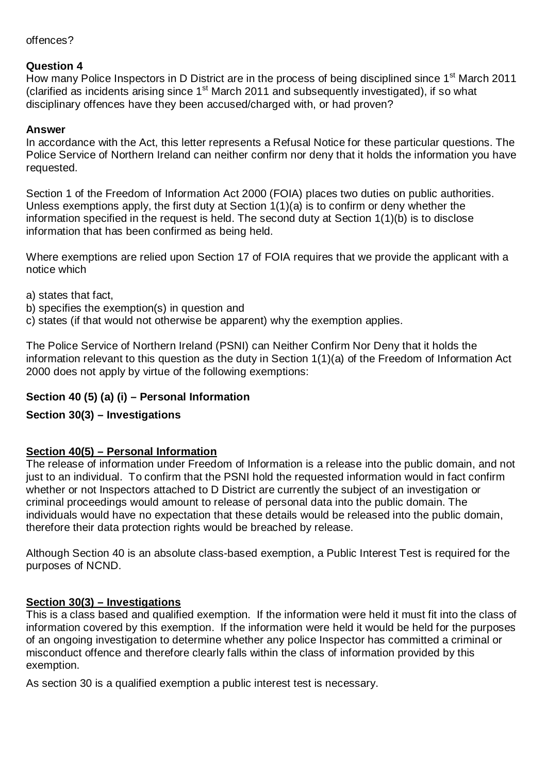#### offences?

#### **Question 4**

How many Police Inspectors in D District are in the process of being disciplined since 1<sup>st</sup> March 2011 (clarified as incidents arising since  $1<sup>st</sup>$  March 2011 and subsequently investigated), if so what disciplinary offences have they been accused/charged with, or had proven?

#### **Answer**

In accordance with the Act, this letter represents a Refusal Notice for these particular questions. The Police Service of Northern Ireland can neither confirm nor deny that it holds the information you have requested.

Section 1 of the Freedom of Information Act 2000 (FOIA) places two duties on public authorities. Unless exemptions apply, the first duty at Section 1(1)(a) is to confirm or deny whether the information specified in the request is held. The second duty at Section 1(1)(b) is to disclose information that has been confirmed as being held.

Where exemptions are relied upon Section 17 of FOIA requires that we provide the applicant with a notice which

a) states that fact,

- b) specifies the exemption(s) in question and
- c) states (if that would not otherwise be apparent) why the exemption applies.

The Police Service of Northern Ireland (PSNI) can Neither Confirm Nor Deny that it holds the information relevant to this question as the duty in Section 1(1)(a) of the Freedom of Information Act 2000 does not apply by virtue of the following exemptions:

# **Section 40 (5) (a) (i) – Personal Information**

# **Section 30(3) – Investigations**

# **Section 40(5) – Personal Information**

The release of information under Freedom of Information is a release into the public domain, and not just to an individual. To confirm that the PSNI hold the requested information would in fact confirm whether or not Inspectors attached to D District are currently the subject of an investigation or criminal proceedings would amount to release of personal data into the public domain. The individuals would have no expectation that these details would be released into the public domain, therefore their data protection rights would be breached by release.

Although Section 40 is an absolute class-based exemption, a Public Interest Test is required for the purposes of NCND.

# **Section 30(3) – Investigations**

This is a class based and qualified exemption. If the information were held it must fit into the class of information covered by this exemption. If the information were held it would be held for the purposes of an ongoing investigation to determine whether any police Inspector has committed a criminal or misconduct offence and therefore clearly falls within the class of information provided by this exemption.

As section 30 is a qualified exemption a public interest test is necessary.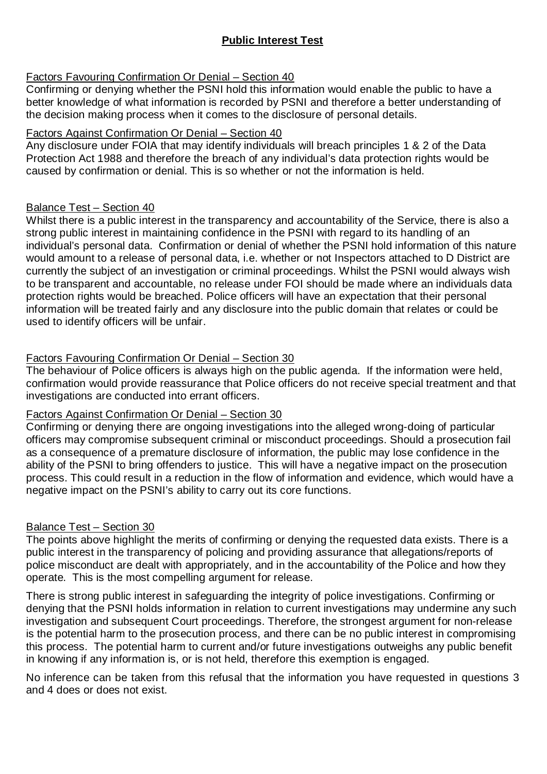# **Public Interest Test**

# Factors Favouring Confirmation Or Denial – Section 40

Confirming or denying whether the PSNI hold this information would enable the public to have a better knowledge of what information is recorded by PSNI and therefore a better understanding of the decision making process when it comes to the disclosure of personal details.

# Factors Against Confirmation Or Denial – Section 40

Any disclosure under FOIA that may identify individuals will breach principles 1 & 2 of the Data Protection Act 1988 and therefore the breach of any individual's data protection rights would be caused by confirmation or denial. This is so whether or not the information is held.

# Balance Test – Section 40

Whilst there is a public interest in the transparency and accountability of the Service, there is also a strong public interest in maintaining confidence in the PSNI with regard to its handling of an individual's personal data. Confirmation or denial of whether the PSNI hold information of this nature would amount to a release of personal data, i.e. whether or not Inspectors attached to D District are currently the subject of an investigation or criminal proceedings. Whilst the PSNI would always wish to be transparent and accountable, no release under FOI should be made where an individuals data protection rights would be breached. Police officers will have an expectation that their personal information will be treated fairly and any disclosure into the public domain that relates or could be used to identify officers will be unfair.

# Factors Favouring Confirmation Or Denial – Section 30

The behaviour of Police officers is always high on the public agenda. If the information were held, confirmation would provide reassurance that Police officers do not receive special treatment and that investigations are conducted into errant officers.

# Factors Against Confirmation Or Denial – Section 30

Confirming or denying there are ongoing investigations into the alleged wrong-doing of particular officers may compromise subsequent criminal or misconduct proceedings. Should a prosecution fail as a consequence of a premature disclosure of information, the public may lose confidence in the ability of the PSNI to bring offenders to justice. This will have a negative impact on the prosecution process. This could result in a reduction in the flow of information and evidence, which would have a negative impact on the PSNI's ability to carry out its core functions.

# Balance Test – Section 30

The points above highlight the merits of confirming or denying the requested data exists. There is a public interest in the transparency of policing and providing assurance that allegations/reports of police misconduct are dealt with appropriately, and in the accountability of the Police and how they operate. This is the most compelling argument for release.

There is strong public interest in safeguarding the integrity of police investigations. Confirming or denying that the PSNI holds information in relation to current investigations may undermine any such investigation and subsequent Court proceedings. Therefore, the strongest argument for non-release is the potential harm to the prosecution process, and there can be no public interest in compromising this process. The potential harm to current and/or future investigations outweighs any public benefit in knowing if any information is, or is not held, therefore this exemption is engaged.

No inference can be taken from this refusal that the information you have requested in questions 3 and 4 does or does not exist.